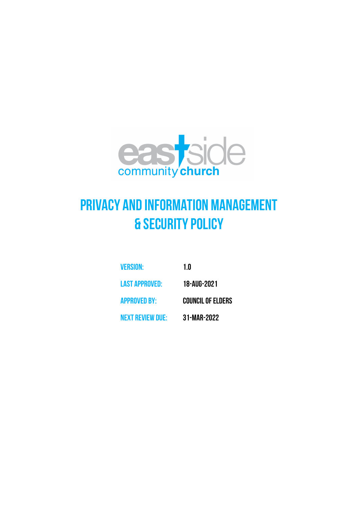

# PRIVACY AND INFORMATION MANAGEMENT & SECURITY POLICY

| <b>VERSION:</b>         | 1.0                      |
|-------------------------|--------------------------|
| <b>LAST APPROVED:</b>   | 18-AUG-2021              |
| <b>APPROVED BY:</b>     | <b>COUNCIL OF ELDERS</b> |
| <b>NEXT REVIEW DUE:</b> | 31-MAR-2022              |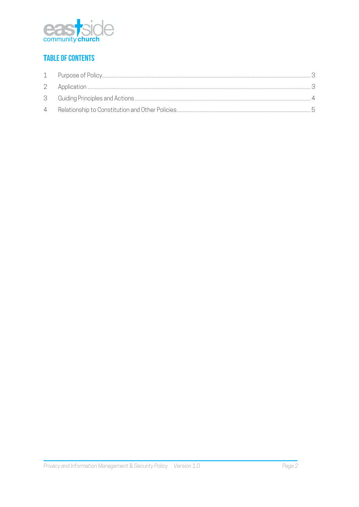

## **TABLE OF CONTENTS**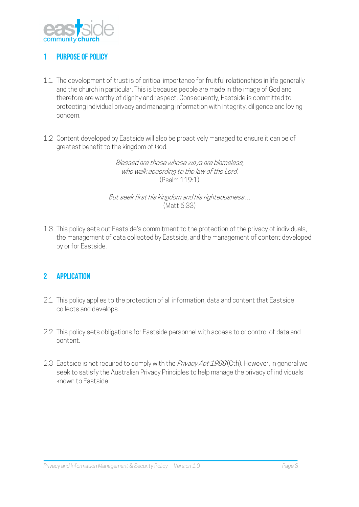

### 1 Purpose of Policy

- 1.1 The development of trust is of critical importance for fruitful relationships in life generally and the church in particular. This is because people are made in the image of God and therefore are worthy of dignity and respect. Consequently, Eastside is committed to protecting individual privacy and managing information with integrity, diligence and loving concern.
- 1.2 Content developed by Eastside will also be proactively managed to ensure it can be of greatest benefit to the kingdom of God.

Blessed are those whose ways are blameless, who walk according to the law of the Lord. (Psalm 119:1)

But seek first his kingdom and his righteousness… (Matt 6:33)

1.3 This policy sets out Eastside's commitment to the protection of the privacy of individuals, the management of data collected by Eastside, and the management of content developed by or for Eastside.

### 2 **APPLICATION**

- 2.1 This policy applies to the protection of all information, data and content that Eastside collects and develops.
- 2.2 This policy sets obligations for Eastside personnel with access to or control of data and content.
- 2.3 Eastside is not required to comply with the Privacy Act 1988 (Cth). However, in general we seek to satisfy the Australian Privacy Principles to help manage the privacy of individuals known to Eastside.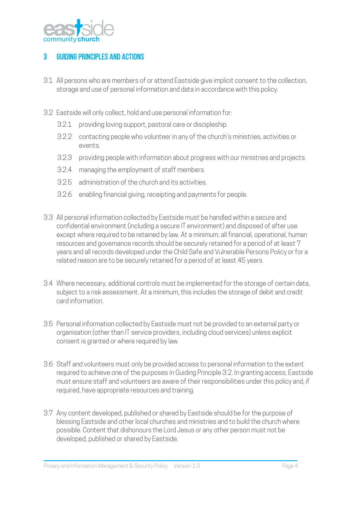

#### 3 Guiding Principles and Actions

- 3.1 All persons who are members of or attend Eastside give implicit consent to the collection, storage and use of personal information and data in accordance with this policy.
- 3.2 Eastside will only collect, hold and use personal information for:
	- 3.2.1 providing loving support, pastoral care or discipleship.
	- 3.2.2 contacting people who volunteer in any of the church's ministries, activities or events.
	- 3.2.3 providing people with information about progress with our ministries and projects.
	- 3.2.4 managing the employment of staff members.
	- 3.2.5 administration of the church and its activities.
	- 3.2.6 enabling financial giving, receipting and payments for people.
- 3.3 All personal information collected by Eastside must be handled within a secure and confidential environment (including a secure IT environment) and disposed of after use except where required to be retained by law. At a minimum, all financial, operational, human resources and governance records should be securely retained for a period of at least 7 years and all records developed under the Child Safe and Vulnerable Persons Policy or for a related reason are to be securely retained for a period of at least 45 years.
- 3.4 Where necessary, additional controls must be implemented for the storage of certain data, subject to a risk assessment. At a minimum, this includes the storage of debit and credit card information.
- 3.5 Personal information collected by Eastside must not be provided to an external party or organisation (other than IT service providers, including cloud services) unless explicit consent is granted or where required by law.
- 3.6 Staff and volunteers must only be provided access to personal information to the extent required to achieve one of the purposes in Guiding Principle 3.2. In granting access, Eastside must ensure staff and volunteers are aware of their responsibilities under this policy and, if required, have appropriate resources and training.
- 3.7 Any content developed, published or shared by Eastside should be for the purpose of blessing Eastside and other local churches and ministries and to build the church where possible. Content that dishonours the Lord Jesus or any other person must not be developed, published or shared by Eastside.